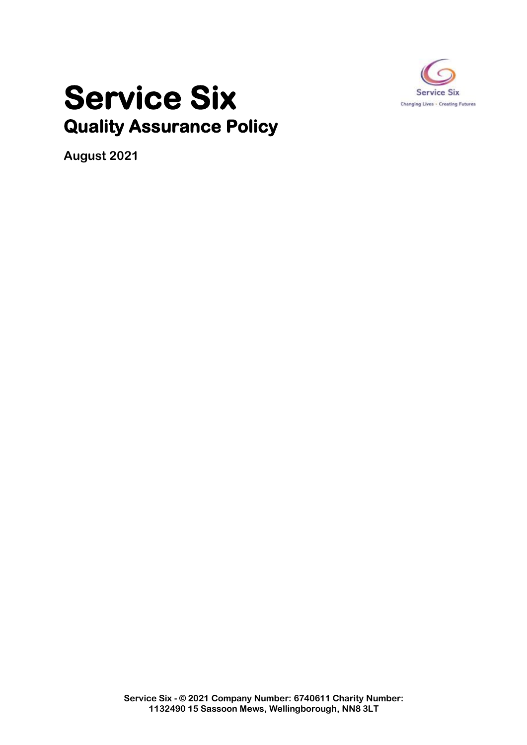

## **Service Six Quality Assurance Policy**

**August 2021**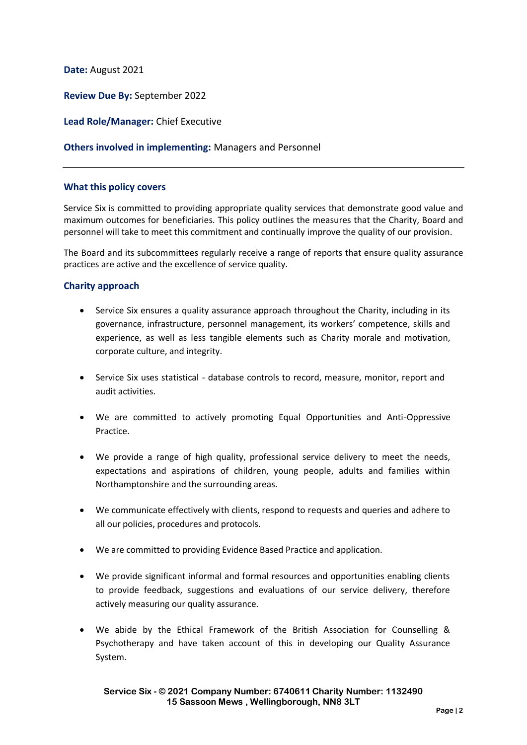**Date:** August 2021

**Review Due By:** September 2022

**Lead Role/Manager:** Chief Executive

## **Others involved in implementing:** Managers and Personnel

## **What this policy covers**

Service Six is committed to providing appropriate quality services that demonstrate good value and maximum outcomes for beneficiaries. This policy outlines the measures that the Charity, Board and personnel will take to meet this commitment and continually improve the quality of our provision.

The Board and its subcommittees regularly receive a range of reports that ensure quality assurance practices are active and the excellence of service quality.

## **Charity approach**

- Service Six ensures a quality assurance approach throughout the Charity, including in its governance, infrastructure, personnel management, its workers' competence, skills and experience, as well as less tangible elements such as Charity morale and motivation, corporate culture, and integrity.
- Service Six uses statistical database controls to record, measure, monitor, report and audit activities.
- We are committed to actively promoting Equal Opportunities and Anti-Oppressive Practice.
- We provide a range of high quality, professional service delivery to meet the needs, expectations and aspirations of children, young people, adults and families within Northamptonshire and the surrounding areas.
- We communicate effectively with clients, respond to requests and queries and adhere to all our policies, procedures and protocols.
- We are committed to providing Evidence Based Practice and application.
- We provide significant informal and formal resources and opportunities enabling clients to provide feedback, suggestions and evaluations of our service delivery, therefore actively measuring our quality assurance.
- We abide by the Ethical Framework of the British Association for Counselling & Psychotherapy and have taken account of this in developing our Quality Assurance System.